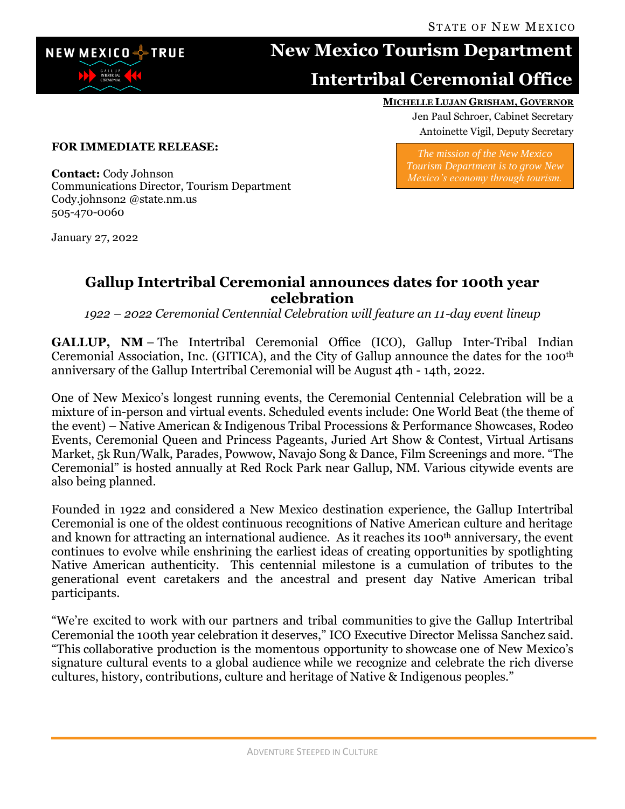

## **New Mexico Tourism Department**

## **Intertribal Ceremonial Office**

## **MICHELLE LUJAN GRISHAM, GOVERNOR**

Jen Paul Schroer, Cabinet Secretary Antoinette Vigil, Deputy Secretary

**FOR IMMEDIATE RELEASE:**

*The mission of the New Mexico Tourism Department is to grow New Mexico's economy through tourism.*

**Contact:** Cody Johnson Communications Director, Tourism Department Cody.johnson2 @state.nm.us 505-470-0060

January 27, 2022

## **Gallup Intertribal Ceremonial announces dates for 100th year celebration**

*1922 – 2022 Ceremonial Centennial Celebration will feature an 11-day event lineup*

**GALLUP, NM** – The Intertribal Ceremonial Office (ICO), Gallup Inter-Tribal Indian Ceremonial Association, Inc. (GITICA), and the City of Gallup announce the dates for the 100th anniversary of the Gallup Intertribal Ceremonial will be August 4th - 14th, 2022.

One of New Mexico's longest running events, the Ceremonial Centennial Celebration will be a mixture of in-person and virtual events. Scheduled events include: One World Beat (the theme of the event) – Native American & Indigenous Tribal Processions & Performance Showcases, Rodeo Events, Ceremonial Queen and Princess Pageants, Juried Art Show & Contest, Virtual Artisans Market, 5k Run/Walk, Parades, Powwow, Navajo Song & Dance, Film Screenings and more. "The Ceremonial" is hosted annually at Red Rock Park near Gallup, NM. Various citywide events are also being planned.

Founded in 1922 and considered a New Mexico destination experience, the Gallup Intertribal Ceremonial is one of the oldest continuous recognitions of Native American culture and heritage and known for attracting an international audience. As it reaches its 100<sup>th</sup> anniversary, the event continues to evolve while enshrining the earliest ideas of creating opportunities by spotlighting Native American authenticity. This centennial milestone is a cumulation of tributes to the generational event caretakers and the ancestral and present day Native American tribal participants.

"We're excited to work with our partners and tribal communities to give the Gallup Intertribal Ceremonial the 100th year celebration it deserves," ICO Executive Director Melissa Sanchez said. "This collaborative production is the momentous opportunity to showcase one of New Mexico's signature cultural events to a global audience while we recognize and celebrate the rich diverse cultures, history, contributions, culture and heritage of Native & Indigenous peoples."